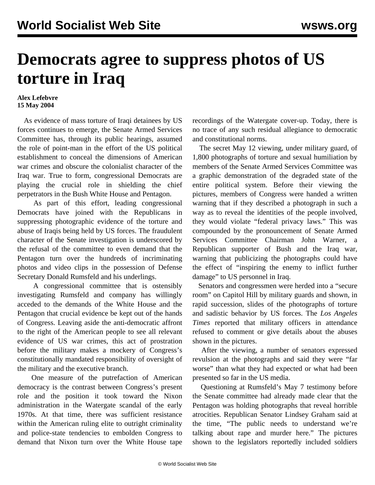## **Democrats agree to suppress photos of US torture in Iraq**

## **Alex Lefebvre 15 May 2004**

 As evidence of mass torture of Iraqi detainees by US forces continues to emerge, the Senate Armed Services Committee has, through its public hearings, assumed the role of point-man in the effort of the US political establishment to conceal the dimensions of American war crimes and obscure the colonialist character of the Iraq war. True to form, congressional Democrats are playing the crucial role in shielding the chief perpetrators in the Bush White House and Pentagon.

 As part of this effort, leading congressional Democrats have joined with the Republicans in suppressing photographic evidence of the torture and abuse of Iraqis being held by US forces. The fraudulent character of the Senate investigation is underscored by the refusal of the committee to even demand that the Pentagon turn over the hundreds of incriminating photos and video clips in the possession of Defense Secretary Donald Rumsfeld and his underlings.

 A congressional committee that is ostensibly investigating Rumsfeld and company has willingly acceded to the demands of the White House and the Pentagon that crucial evidence be kept out of the hands of Congress. Leaving aside the anti-democratic affront to the right of the American people to see all relevant evidence of US war crimes, this act of prostration before the military makes a mockery of Congress's constitutionally mandated responsibility of oversight of the military and the executive branch.

 One measure of the putrefaction of American democracy is the contrast between Congress's present role and the position it took toward the Nixon administration in the Watergate scandal of the early 1970s. At that time, there was sufficient resistance within the American ruling elite to outright criminality and police-state tendencies to embolden Congress to demand that Nixon turn over the White House tape

recordings of the Watergate cover-up. Today, there is no trace of any such residual allegiance to democratic and constitutional norms.

 The secret May 12 viewing, under military guard, of 1,800 photographs of torture and sexual humiliation by members of the Senate Armed Services Committee was a graphic demonstration of the degraded state of the entire political system. Before their viewing the pictures, members of Congress were handed a written warning that if they described a photograph in such a way as to reveal the identities of the people involved, they would violate "federal privacy laws." This was compounded by the pronouncement of Senate Armed Services Committee Chairman John Warner, a Republican supporter of Bush and the Iraq war, warning that publicizing the photographs could have the effect of "inspiring the enemy to inflict further damage" to US personnel in Iraq.

 Senators and congressmen were herded into a "secure room" on Capitol Hill by military guards and shown, in rapid succession, slides of the photographs of torture and sadistic behavior by US forces. The *Los Angeles Times* reported that military officers in attendance refused to comment or give details about the abuses shown in the pictures.

 After the viewing, a number of senators expressed revulsion at the photographs and said they were "far worse" than what they had expected or what had been presented so far in the US media.

 Questioning at Rumsfeld's May 7 testimony before the Senate committee had already made clear that the Pentagon was holding photographs that reveal horrible atrocities. Republican Senator Lindsey Graham said at the time, "The public needs to understand we're talking about rape and murder here." The pictures shown to the legislators reportedly included soldiers